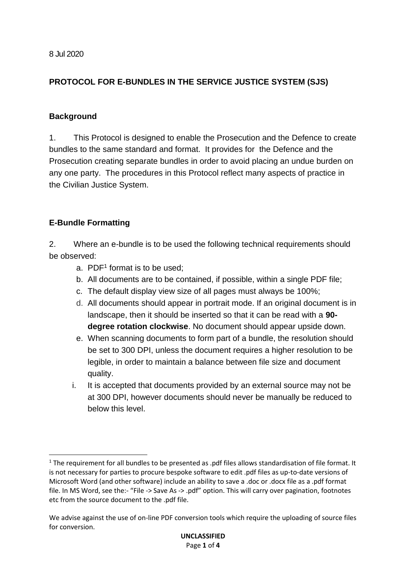## **PROTOCOL FOR E-BUNDLES IN THE SERVICE JUSTICE SYSTEM (SJS)**

## **Background**

1. This Protocol is designed to enable the Prosecution and the Defence to create bundles to the same standard and format. It provides for the Defence and the Prosecution creating separate bundles in order to avoid placing an undue burden on any one party. The procedures in this Protocol reflect many aspects of practice in the Civilian Justice System.

## **E-Bundle Formatting**

1

2. Where an e-bundle is to be used the following technical requirements should be observed:

- a. PDF<sup>1</sup> format is to be used;
- b. All documents are to be contained, if possible, within a single PDF file;
- c. The default display view size of all pages must always be 100%;
- d. All documents should appear in portrait mode. If an original document is in landscape, then it should be inserted so that it can be read with a **90 degree rotation clockwise**. No document should appear upside down.
- e. When scanning documents to form part of a bundle, the resolution should be set to 300 DPI, unless the document requires a higher resolution to be legible, in order to maintain a balance between file size and document quality.
- i. It is accepted that documents provided by an external source may not be at 300 DPI, however documents should never be manually be reduced to below this level.

<sup>&</sup>lt;sup>1</sup> The requirement for all bundles to be presented as .pdf files allows standardisation of file format. It is not necessary for parties to procure bespoke software to edit .pdf files as up-to-date versions of Microsoft Word (and other software) include an ability to save a .doc or .docx file as a .pdf format file. In MS Word, see the:- "File -> Save As -> .pdf" option. This will carry over pagination, footnotes etc from the source document to the .pdf file.

We advise against the use of on-line PDF conversion tools which require the uploading of source files for conversion.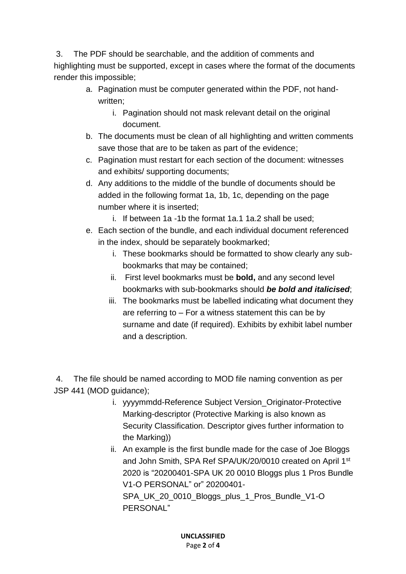3. The PDF should be searchable, and the addition of comments and highlighting must be supported, except in cases where the format of the documents render this impossible;

- a. Pagination must be computer generated within the PDF, not handwritten;
	- i. Pagination should not mask relevant detail on the original document.
- b. The documents must be clean of all highlighting and written comments save those that are to be taken as part of the evidence;
- c. Pagination must restart for each section of the document: witnesses and exhibits/ supporting documents;
- d. Any additions to the middle of the bundle of documents should be added in the following format 1a, 1b, 1c, depending on the page number where it is inserted;
	- i. If between 1a -1b the format 1a.1 1a.2 shall be used;
- e. Each section of the bundle, and each individual document referenced in the index, should be separately bookmarked;
	- i. These bookmarks should be formatted to show clearly any subbookmarks that may be contained;
	- ii. First level bookmarks must be **bold,** and any second level bookmarks with sub-bookmarks should *be bold and italicised*;
	- iii. The bookmarks must be labelled indicating what document they are referring to – For a witness statement this can be by surname and date (if required). Exhibits by exhibit label number and a description.

4. The file should be named according to MOD file naming convention as per JSP 441 (MOD guidance);

- i. yyyymmdd-Reference Subject Version\_Originator-Protective Marking-descriptor (Protective Marking is also known as Security Classification. Descriptor gives further information to the Marking))
- ii. An example is the first bundle made for the case of Joe Bloggs and John Smith, SPA Ref SPA/UK/20/0010 created on April 1<sup>st</sup> 2020 is "20200401-SPA UK 20 0010 Bloggs plus 1 Pros Bundle V1-O PERSONAL" or" 20200401- SPA\_UK\_20\_0010\_Bloggs\_plus\_1\_Pros\_Bundle\_V1-O PERSONAL"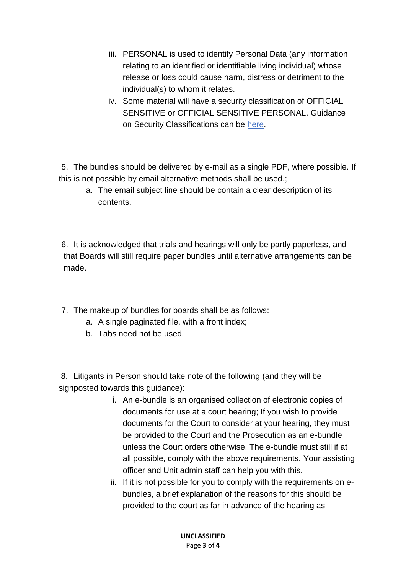- iii. PERSONAL is used to identify Personal Data (any information relating to an identified or identifiable living individual) whose release or loss could cause harm, distress or detriment to the individual(s) to whom it relates.
- iv. Some material will have a security classification of OFFICIAL SENSITIVE or OFFICIAL SENSITIVE PERSONAL. Guidance on Security Classifications can be [here.](https://assets.publishing.service.gov.uk/government/uploads/system/uploads/attachment_data/file/715778/May-2018_Government-Security-Classifications-2.pdf)

5. The bundles should be delivered by e-mail as a single PDF, where possible. If this is not possible by email alternative methods shall be used.;

a. The email subject line should be contain a clear description of its contents.

6. It is acknowledged that trials and hearings will only be partly paperless, and that Boards will still require paper bundles until alternative arrangements can be made.

- 7. The makeup of bundles for boards shall be as follows:
	- a. A single paginated file, with a front index;
	- b. Tabs need not be used.

8. Litigants in Person should take note of the following (and they will be signposted towards this guidance):

- i. An e-bundle is an organised collection of electronic copies of documents for use at a court hearing; If you wish to provide documents for the Court to consider at your hearing, they must be provided to the Court and the Prosecution as an e-bundle unless the Court orders otherwise. The e-bundle must still if at all possible, comply with the above requirements. Your assisting officer and Unit admin staff can help you with this.
- ii. If it is not possible for you to comply with the requirements on ebundles, a brief explanation of the reasons for this should be provided to the court as far in advance of the hearing as